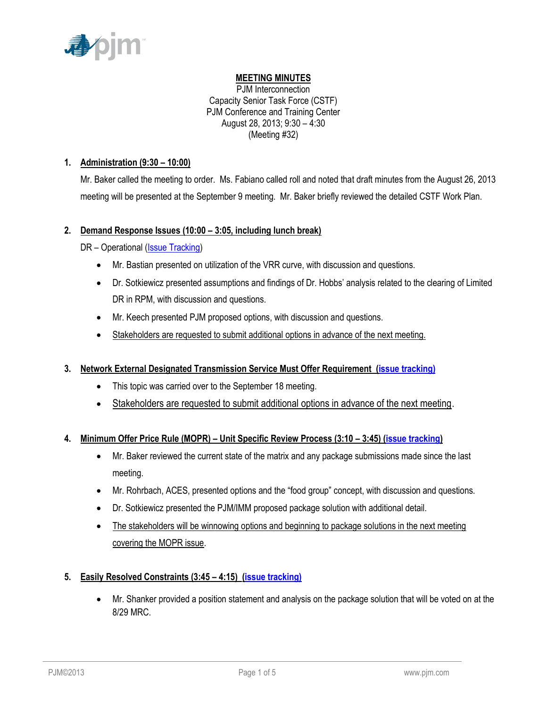

# **MEETING MINUTES**

PJM Interconnection Capacity Senior Task Force (CSTF) PJM Conference and Training Center August 28, 2013; 9:30 – 4:30 (Meeting #32)

### **1. Administration (9:30 – 10:00)**

Mr. Baker called the meeting to order. Ms. Fabiano called roll and noted that draft minutes from the August 26, 2013 meeting will be presented at the September 9 meeting. Mr. Baker briefly reviewed the detailed CSTF Work Plan.

### **2. Demand Response Issues (10:00 – 3:05, including lunch break)**

DR – Operational [\(Issue Tracking\)](http://www.pjm.com/committees-and-groups/issue-tracking/issue-tracking-details.aspx?Issue=%7bAEA1F820-69C5-414E-A040-6D52B2036E29%7d)

- Mr. Bastian presented on utilization of the VRR curve, with discussion and questions.
- Dr. Sotkiewicz presented assumptions and findings of Dr. Hobbs' analysis related to the clearing of Limited DR in RPM, with discussion and questions.
- Mr. Keech presented PJM proposed options, with discussion and questions.
- Stakeholders are requested to submit additional options in advance of the next meeting.

# **3. Network External Designated Transmission Service Must Offer Requirement [\(issue tracking\)](http://pjm.com/committees-and-groups/issue-tracking/issue-tracking-details.aspx?Issue=%7b66EDA134-6237-4B82-A983-B04964DD5776%7d)**

- This topic was carried over to the September 18 meeting.
- Stakeholders are requested to submit additional options in advance of the next meeting.

# **4. Minimum Offer Price Rule (MOPR) – Unit Specific Review Process (3:10 – 3:45) [\(issue tracking\)](http://www.pjm.com/committees-and-groups/issue-tracking/issue-tracking-details.aspx?Issue=%7b615F4A47-A683-4E2F-90EA-10FFFCBFA91D%7d)**

- Mr. Baker reviewed the current state of the matrix and any package submissions made since the last meeting.
- Mr. Rohrbach, ACES, presented options and the "food group" concept, with discussion and questions.
- Dr. Sotkiewicz presented the PJM/IMM proposed package solution with additional detail.
- The stakeholders will be winnowing options and beginning to package solutions in the next meeting covering the MOPR issue.

# **5. Easily Resolved Constraints (3:45 – 4:15) (issue tracking)**

 Mr. Shanker provided a position statement and analysis on the package solution that will be voted on at the 8/29 MRC.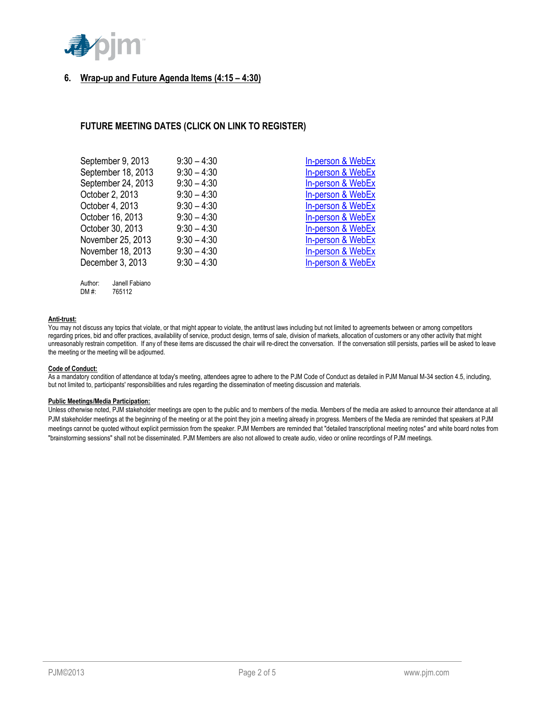

### **6. Wrap-up and Future Agenda Items (4:15 – 4:30)**

### **FUTURE MEETING DATES (CLICK ON LINK TO REGISTER)**

| September 9, 2013  | $9:30 - 4:30$ | In-person & WebEx |
|--------------------|---------------|-------------------|
| September 18, 2013 | $9:30 - 4:30$ | In-person & WebEx |
| September 24, 2013 | $9:30 - 4:30$ | In-person & WebEx |
| October 2, 2013    | $9:30 - 4:30$ | In-person & WebEx |
| October 4, 2013    | $9:30 - 4:30$ | In-person & WebEx |
| October 16, 2013   | $9:30 - 4:30$ | In-person & WebEx |
| October 30, 2013   | $9:30 - 4:30$ | In-person & WebEx |
| November 25, 2013  | $9:30 - 4:30$ | In-person & WebEx |
| November 18, 2013  | $9:30 - 4:30$ | In-person & WebEx |
| December 3, 2013   | $9:30 - 4:30$ | In-person & WebEx |
|                    |               |                   |

| Author: | Janell Fabiano |
|---------|----------------|
| DM #:   | 765112         |

#### **Anti-trust:**

You may not discuss any topics that violate, or that might appear to violate, the antitrust laws including but not limited to agreements between or among competitors regarding prices, bid and offer practices, availability of service, product design, terms of sale, division of markets, allocation of customers or any other activity that might unreasonably restrain competition. If any of these items are discussed the chair will re-direct the conversation. If the conversation still persists, parties will be asked to leave the meeting or the meeting will be adjourned.

#### **Code of Conduct:**

As a mandatory condition of attendance at today's meeting, attendees agree to adhere to the PJM Code of Conduct as detailed in PJM Manual M-34 section 4.5, including, but not limited to, participants' responsibilities and rules regarding the dissemination of meeting discussion and materials.

#### **Public Meetings/Media Participation:**

Unless otherwise noted, PJM stakeholder meetings are open to the public and to members of the media. Members of the media are asked to announce their attendance at all PJM stakeholder meetings at the beginning of the meeting or at the point they join a meeting already in progress. Members of the Media are reminded that speakers at PJM meetings cannot be quoted without explicit permission from the speaker. PJM Members are reminded that "detailed transcriptional meeting notes" and white board notes from "brainstorming sessions" shall not be disseminated. PJM Members are also not allowed to create audio, video or online recordings of PJM meetings.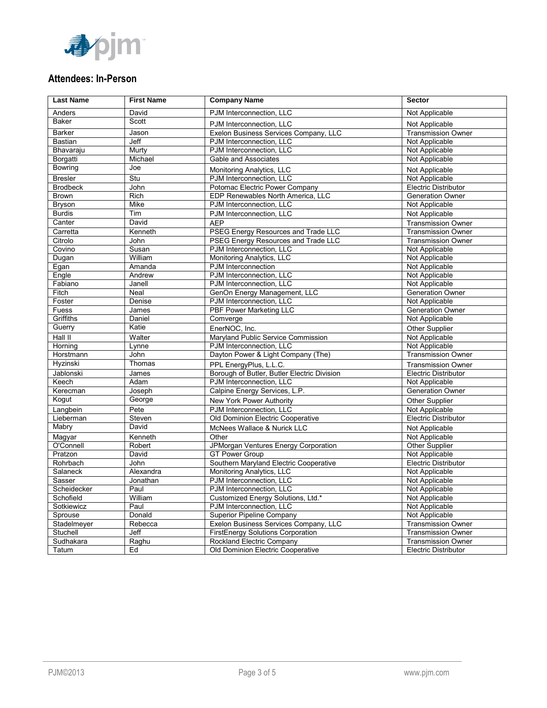

# **Attendees: In-Person**

| <b>Last Name</b> | <b>First Name</b> | <b>Company Name</b>                         | Sector                           |
|------------------|-------------------|---------------------------------------------|----------------------------------|
| Anders           | David             | PJM Interconnection, LLC                    | Not Applicable                   |
| <b>Baker</b>     | Scott             | PJM Interconnection, LLC                    | Not Applicable                   |
| <b>Barker</b>    | Jason             | Exelon Business Services Company, LLC       | <b>Transmission Owner</b>        |
| Bastian          | Jeff              | PJM Interconnection, LLC                    | Not Applicable                   |
| Bhavaraju        | Murty             | PJM Interconnection, LLC                    | Not Applicable                   |
| Borgatti         | Michael           | Gable and Associates                        | Not Applicable                   |
| Bowring          | Joe               | Monitoring Analytics, LLC                   | Not Applicable                   |
| <b>Bresler</b>   | Stu               | PJM Interconnection, LLC                    | Not Applicable                   |
| <b>Brodbeck</b>  | John              | Potomac Electric Power Company              | <b>Electric Distributor</b>      |
| <b>Brown</b>     | Rich              | EDP Renewables North America, LLC           | <b>Generation Owner</b>          |
| Bryson           | Mike              | PJM Interconnection, LLC                    | Not Applicable                   |
| <b>Burdis</b>    | Tim               | PJM Interconnection, LLC                    | Not Applicable                   |
| Canter           | David             | <b>AEP</b>                                  | <b>Transmission Owner</b>        |
| Carretta         | Kenneth           | PSEG Energy Resources and Trade LLC         | <b>Transmission Owner</b>        |
| Citrolo          | John              | <b>PSEG Energy Resources and Trade LLC</b>  | <b>Transmission Owner</b>        |
| Covino           | Susan             | PJM Interconnection, LLC                    | Not Applicable                   |
| Dugan            | William           | Monitoring Analytics, LLC                   | Not Applicable                   |
| Egan             | Amanda            | PJM Interconnection                         | Not Applicable                   |
| Engle            | Andrew            | PJM Interconnection. LLC                    | Not Applicable                   |
| Fabiano          | Janell            | PJM Interconnection, LLC                    | Not Applicable                   |
| Fitch            | Neal              | GenOn Energy Management, LLC                | <b>Generation Owner</b>          |
| Foster           | Denise            | PJM Interconnection, LLC                    | Not Applicable                   |
| Fuess            | James             | <b>PBF Power Marketing LLC</b>              | <b>Generation Owner</b>          |
| Griffiths        | Daniel            | Comverge                                    | Not Applicable                   |
| Guerry           | Katie             | EnerNOC, Inc.                               | Other Supplier                   |
| Hall II          | Walter            | Maryland Public Service Commission          | Not Applicable                   |
| Horning          | Lynne             | PJM Interconnection, LLC                    | Not Applicable                   |
| Horstmann        | John              | Dayton Power & Light Company (The)          | <b>Transmission Owner</b>        |
| Hyzinski         | Thomas            | PPL EnergyPlus, L.L.C.                      | <b>Transmission Owner</b>        |
| Jablonski        | James             | Borough of Butler, Butler Electric Division | <b>Electric Distributor</b>      |
| Keech            | Adam              | PJM Interconnection, LLC                    | Not Applicable                   |
| Kerecman         | Joseph            | Calpine Energy Services, L.P.               | <b>Generation Owner</b>          |
| Kogut            | George            | New York Power Authority                    | Other Supplier                   |
| Langbein         | Pete              | PJM Interconnection, LLC                    | Not Applicable                   |
| Lieberman        | Steven            | Old Dominion Electric Cooperative           | <b>Electric Distributor</b>      |
| Mabry            | David             | McNees Wallace & Nurick LLC                 |                                  |
| Magyar           | Kenneth           | Other                                       | Not Applicable<br>Not Applicable |
| O'Connell        | Robert            | JPMorgan Ventures Energy Corporation        | <b>Other Supplier</b>            |
| Pratzon          | David             | <b>GT Power Group</b>                       | Not Applicable                   |
| Rohrbach         | John              | Southern Maryland Electric Cooperative      | <b>Electric Distributor</b>      |
| Salaneck         | Alexandra         | Monitoring Analytics, LLC                   | Not Applicable                   |
| Sasser           | Jonathan          | PJM Interconnection, LLC                    | Not Applicable                   |
| Scheidecker      | Paul              | PJM Interconnection, LLC                    | Not Applicable                   |
| Schofield        | William           | Customized Energy Solutions, Ltd.*          | Not Applicable                   |
| Sotkiewicz       | Paul              | PJM Interconnection, LLC                    | Not Applicable                   |
| Sprouse          | Donald            | Superior Pipeline Company                   | Not Applicable                   |
| Stadelmeyer      | Rebecca           | Exelon Business Services Company, LLC       | <b>Transmission Owner</b>        |
| Stuchell         | Jeff              | <b>FirstEnergy Solutions Corporation</b>    | <b>Transmission Owner</b>        |
| Sudhakara        | Raghu             | <b>Rockland Electric Company</b>            | <b>Transmission Owner</b>        |
| Tatum            | Ed                | Old Dominion Electric Cooperative           | <b>Electric Distributor</b>      |
|                  |                   |                                             |                                  |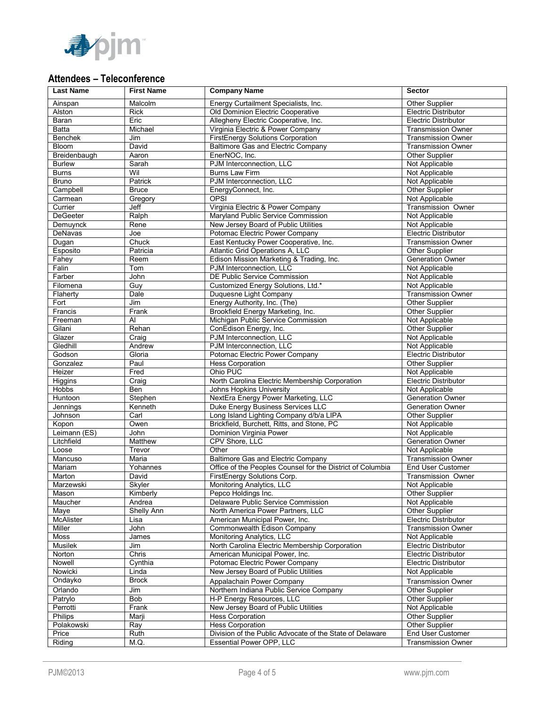

# **Attendees – Teleconference**

| <b>Last Name</b>   | <b>First Name</b> | <b>Company Name</b>                                        | <b>Sector</b>                                 |
|--------------------|-------------------|------------------------------------------------------------|-----------------------------------------------|
| Ainspan            | Malcolm           | Energy Curtailment Specialists, Inc.                       | Other Supplier                                |
| Alston             | <b>Rick</b>       | Old Dominion Electric Cooperative                          | <b>Electric Distributor</b>                   |
| Baran              | Eric              | Allegheny Electric Cooperative, Inc.                       | <b>Electric Distributor</b>                   |
| Batta              | Michael           | Virginia Electric & Power Company                          | <b>Transmission Owner</b>                     |
| <b>Benchek</b>     | Jim               | FirstEnergy Solutions Corporation                          | <b>Transmission Owner</b>                     |
| Bloom              | David             | Baltimore Gas and Electric Company                         | <b>Transmission Owner</b>                     |
| Breidenbaugh       | Aaron             | EnerNOC, Inc.                                              | Other Supplier                                |
| <b>Burlew</b>      | Sarah             | PJM Interconnection, LLC                                   | Not Applicable                                |
| <b>Burns</b>       | Wil               | <b>Burns Law Firm</b>                                      | Not Applicable                                |
| Bruno              | Patrick           | PJM Interconnection, LLC                                   | Not Applicable                                |
| Campbell           | <b>Bruce</b>      | EnergyConnect, Inc.                                        | Other Supplier                                |
| Carmean            | Gregory           | <b>OPSI</b>                                                | Not Applicable                                |
| Currier            | Jeff              | Virginia Electric & Power Company                          | <b>Transmission Owner</b>                     |
| <b>DeGeeter</b>    | Ralph             | Marvland Public Service Commission                         | Not Applicable                                |
| Demuynck           | Rene              | New Jersey Board of Public Utilities                       | Not Applicable                                |
| DeNavas            | Joe               | Potomac Electric Power Company                             | <b>Electric Distributor</b>                   |
| Dugan              | Chuck             | East Kentucky Power Cooperative, Inc.                      | <b>Transmission Owner</b>                     |
| Esposito           | Patricia          | Atlantic Grid Operations A, LLC                            | Other Supplier                                |
| Fahey              | Reem              | Edison Mission Marketing & Trading, Inc.                   | <b>Generation Owner</b>                       |
| Falin              | Tom               | PJM Interconnection, LLC                                   | Not Applicable                                |
| Farber             | John              | DE Public Service Commission                               | Not Applicable                                |
| Filomena           | Guy               | Customized Energy Solutions, Ltd.*                         | Not Applicable                                |
| Flaherty           | Dale              | Duquesne Light Company                                     | <b>Transmission Owner</b>                     |
| Fort               | Jim               | Energy Authority, Inc. (The)                               | Other Supplier                                |
| Francis            | Frank             | Brookfield Energy Marketing, Inc.                          | Other Supplier                                |
| Freeman            | Al                | Michigan Public Service Commission                         | Not Applicable                                |
| Gilani             | Rehan             | ConEdison Energy, Inc.                                     | Other Supplier                                |
| Glazer<br>Gledhill | Craig             | PJM Interconnection, LLC<br>PJM Interconnection, LLC       | Not Applicable                                |
| Godson             | Andrew<br>Gloria  | Potomac Electric Power Company                             | Not Applicable<br><b>Electric Distributor</b> |
| Gonzalez           | Paul              | <b>Hess Corporation</b>                                    | Other Supplier                                |
| Heizer             | Fred              | Ohio PUC                                                   | Not Applicable                                |
| <b>Higgins</b>     | Craig             | North Carolina Electric Membership Corporation             | <b>Electric Distributor</b>                   |
| Hobbs              | <b>Ben</b>        | Johns Hopkins University                                   | Not Applicable                                |
| Huntoon            | Stephen           | NextEra Energy Power Marketing, LLC                        | <b>Generation Owner</b>                       |
| Jennings           | Kenneth           | Duke Energy Business Services LLC                          | <b>Generation Owner</b>                       |
| Johnson            | Carl              | Long Island Lighting Company d/b/a LIPA                    | Other Supplier                                |
| Kopon              | Owen              | Brickfield, Burchett, Ritts, and Stone, PC                 | Not Applicable                                |
| Leimann (ES)       | John              | Dominion Virginia Power                                    | Not Applicable                                |
| Litchfield         | <b>Matthew</b>    | CPV Shore, LLC                                             | <b>Generation Owner</b>                       |
| Loose              | Trevor            | Other                                                      | Not Applicable                                |
| Mancuso            | Maria             | Baltimore Gas and Electric Company                         | <b>Transmission Owner</b>                     |
| Mariam             | Yohannes          | Office of the Peoples Counsel for the District of Columbia | End User Customer                             |
| Marton             | David             | FirstEnergy Solutions Corp.                                | Transmission Owner                            |
| Marzewski          | Skyler            | Monitoring Analytics, LLC                                  | Not Applicable                                |
| Mason              | Kimberly          | Pepco Holdings Inc.                                        | Other Supplier                                |
| Maucher            | Andrea            | Delaware Public Service Commission                         | Not Applicable                                |
| Maye               | Shelly Ann        | North America Power Partners, LLC                          | Other Supplier                                |
| <b>McAlister</b>   | Lisa              | American Municipal Power, Inc.                             | <b>Electric Distributor</b>                   |
| Miller             | John              | Commonwealth Edison Company                                | <b>Transmission Owner</b>                     |
| Moss               | James             | Monitoring Analytics, LLC                                  | Not Applicable                                |
| Musilek            | Jim               | North Carolina Electric Membership Corporation             | <b>Electric Distributor</b>                   |
| Norton             | Chris             | American Municipal Power, Inc.                             | <b>Electric Distributor</b>                   |
| Nowell             | Cynthia           | Potomac Electric Power Company                             | <b>Electric Distributor</b>                   |
| Nowicki            | Linda             | New Jersey Board of Public Utilities                       | Not Applicable                                |
| Ondayko            | <b>Brock</b>      | Appalachain Power Company                                  | <b>Transmission Owner</b>                     |
| Orlando            | Jim               | Northern Indiana Public Service Company                    | Other Supplier                                |
| Patrylo            | Bob               | H-P Energy Resources, LLC                                  | Other Supplier                                |
| Perrotti           | Frank             | New Jersey Board of Public Utilities                       | Not Applicable                                |
| Philips            | Marji             | Hess Corporation                                           | Other Supplier                                |
| Polakowski         | Ray               | <b>Hess Corporation</b>                                    | Other Supplier                                |
| Price              | Ruth              | Division of the Public Advocate of the State of Delaware   | End User Customer                             |
| Riding             | M.Q.              | Essential Power OPP, LLC                                   | <b>Transmission Owner</b>                     |